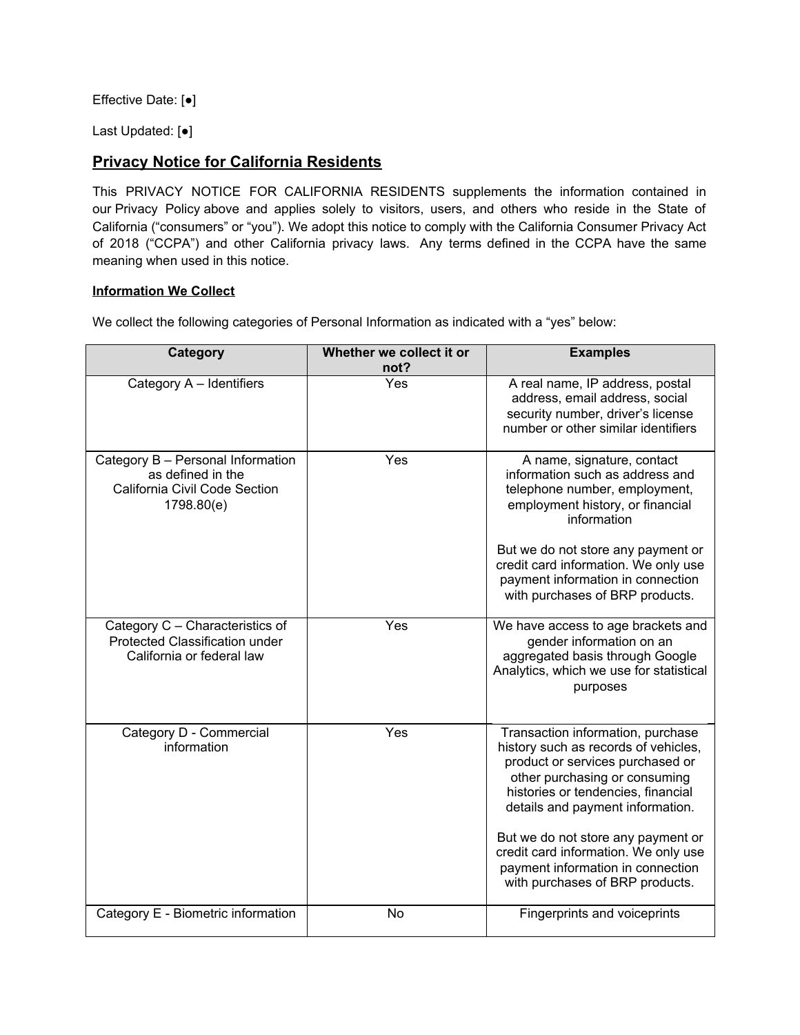Effective Date: [●]

Last Updated: [●]

# **Privacy Notice for California Residents**

This PRIVACY NOTICE FOR CALIFORNIA RESIDENTS supplements the information contained in our [Privacy](https://www.useindio.com/privacy-policy/) Policy above and applies solely to visitors, users, and others who reside in the State of California ("consumers" or "you"). We adopt this notice to comply with the California Consumer Privacy Act of 2018 ("CCPA") and other California privacy laws. Any terms defined in the CCPA have the same meaning when used in this notice.

# **Information We Collect**

We collect the following categories of Personal Information as indicated with a "yes" below:

| Category                                                                                              | Whether we collect it or<br>not? | <b>Examples</b>                                                                                                                                                                                                                                                                                                                                                                |
|-------------------------------------------------------------------------------------------------------|----------------------------------|--------------------------------------------------------------------------------------------------------------------------------------------------------------------------------------------------------------------------------------------------------------------------------------------------------------------------------------------------------------------------------|
| Category A - Identifiers                                                                              | Yes                              | A real name, IP address, postal<br>address, email address, social<br>security number, driver's license<br>number or other similar identifiers                                                                                                                                                                                                                                  |
| Category B - Personal Information<br>as defined in the<br>California Civil Code Section<br>1798.80(e) | Yes                              | A name, signature, contact<br>information such as address and<br>telephone number, employment,<br>employment history, or financial<br>information<br>But we do not store any payment or<br>credit card information. We only use<br>payment information in connection<br>with purchases of BRP products.                                                                        |
| Category C - Characteristics of<br>Protected Classification under<br>California or federal law        | Yes                              | We have access to age brackets and<br>gender information on an<br>aggregated basis through Google<br>Analytics, which we use for statistical<br>purposes                                                                                                                                                                                                                       |
| Category D - Commercial<br>information                                                                | Yes                              | Transaction information, purchase<br>history such as records of vehicles,<br>product or services purchased or<br>other purchasing or consuming<br>histories or tendencies, financial<br>details and payment information.<br>But we do not store any payment or<br>credit card information. We only use<br>payment information in connection<br>with purchases of BRP products. |
| Category E - Biometric information                                                                    | <b>No</b>                        | Fingerprints and voiceprints                                                                                                                                                                                                                                                                                                                                                   |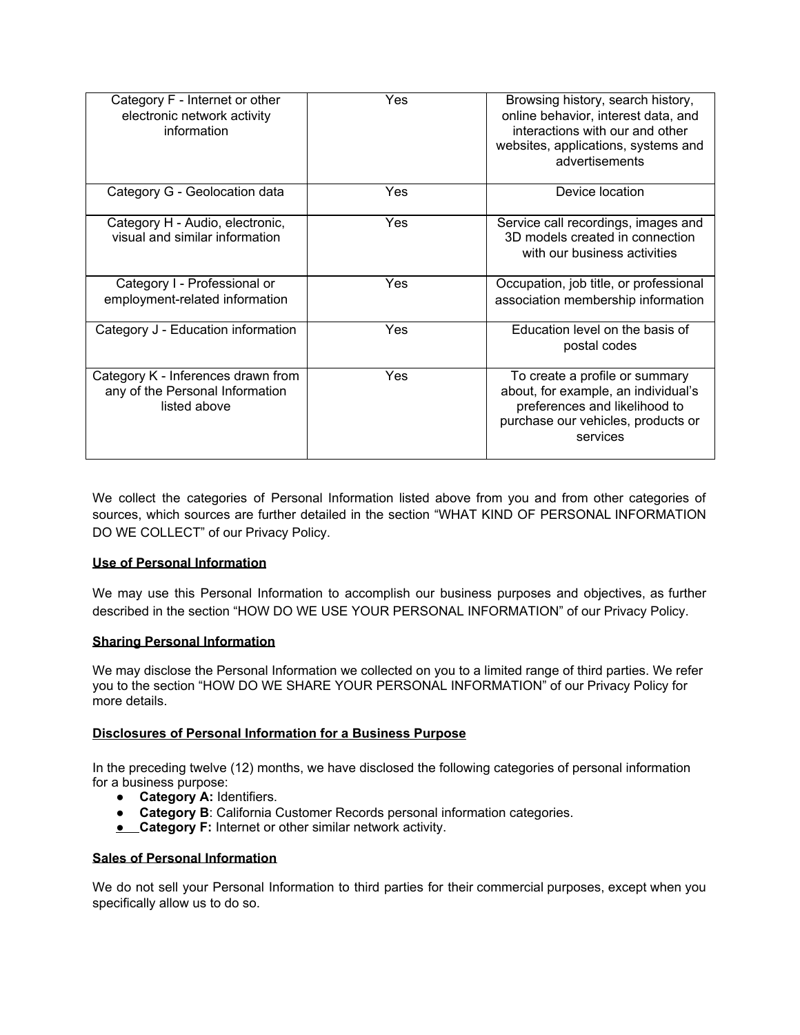| Category F - Internet or other<br>electronic network activity<br>information          | Yes        | Browsing history, search history,<br>online behavior, interest data, and<br>interactions with our and other<br>websites, applications, systems and<br>advertisements |
|---------------------------------------------------------------------------------------|------------|----------------------------------------------------------------------------------------------------------------------------------------------------------------------|
| Category G - Geolocation data                                                         | <b>Yes</b> | Device location                                                                                                                                                      |
| Category H - Audio, electronic,<br>visual and similar information                     | Yes        | Service call recordings, images and<br>3D models created in connection<br>with our business activities                                                               |
| Category I - Professional or<br>employment-related information                        | Yes        | Occupation, job title, or professional<br>association membership information                                                                                         |
| Category J - Education information                                                    | Yes        | Education level on the basis of<br>postal codes                                                                                                                      |
| Category K - Inferences drawn from<br>any of the Personal Information<br>listed above | Yes        | To create a profile or summary<br>about, for example, an individual's<br>preferences and likelihood to<br>purchase our vehicles, products or<br>services             |

We collect the categories of Personal Information listed above from you and from other categories of sources, which sources are further detailed in the section "WHAT KIND OF PERSONAL INFORMATION DO WE COLLECT" of our Privacy Policy.

# **Use of Personal Information**

We may use this Personal Information to accomplish our business purposes and objectives, as further described in the section "HOW DO WE USE YOUR PERSONAL INFORMATION" of our Privacy Policy.

#### **Sharing Personal Information**

We may disclose the Personal Information we collected on you to a limited range of third parties. We refer you to the section "HOW DO WE SHARE YOUR PERSONAL INFORMATION" of our Privacy Policy for more details.

#### **Disclosures of Personal Information for a Business Purpose**

In the preceding twelve (12) months, we have disclosed the following categories of personal information for a business purpose:

- **Category A:** Identifiers.
- **Category B**: California Customer Records personal information categories.
- **● Category F:** Internet or other similar network activity.

## **Sales of Personal Information**

We do not sell your Personal Information to third parties for their commercial purposes, except when you specifically allow us to do so.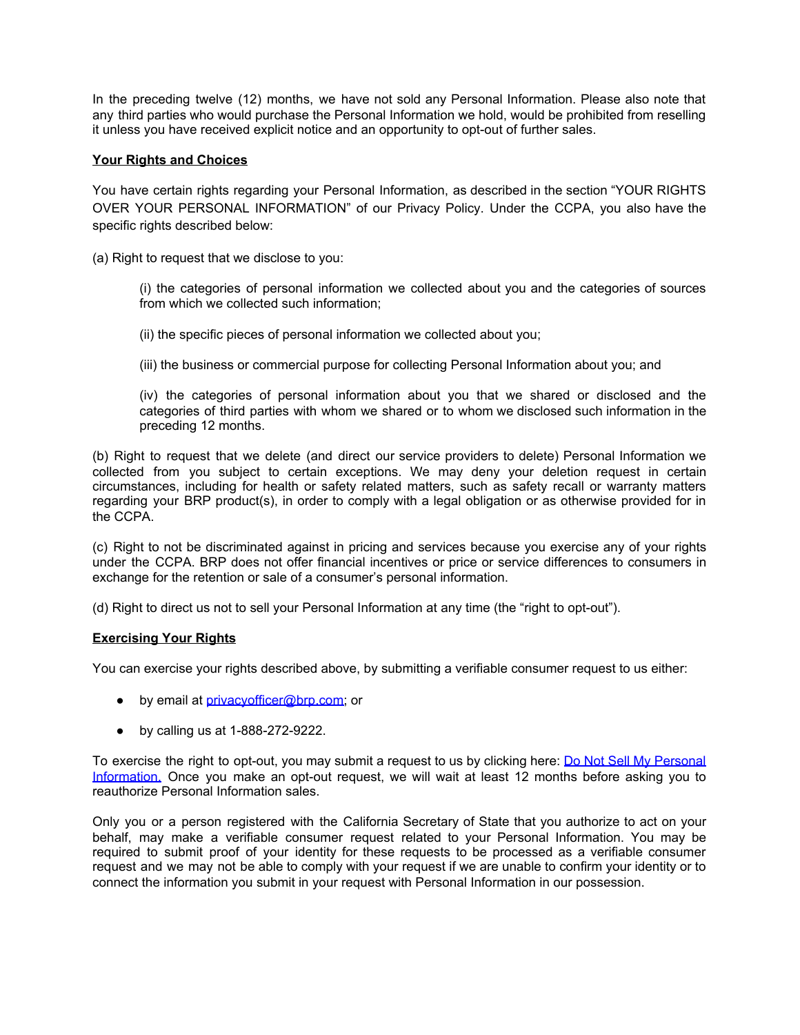In the preceding twelve (12) months, we have not sold any Personal Information. Please also note that any third parties who would purchase the Personal Information we hold, would be prohibited from reselling it unless you have received explicit notice and an opportunity to opt-out of further sales.

## **Your Rights and Choices**

You have certain rights regarding your Personal Information, as described in the section "YOUR RIGHTS OVER YOUR PERSONAL INFORMATION" of our Privacy Policy. Under the CCPA, you also have the specific rights described below:

(a) Right to request that we disclose to you:

(i) the categories of personal information we collected about you and the categories of sources from which we collected such information;

(ii) the specific pieces of personal information we collected about you;

(iii) the business or commercial purpose for collecting Personal Information about you; and

(iv) the categories of personal information about you that we shared or disclosed and the categories of third parties with whom we shared or to whom we disclosed such information in the preceding 12 months.

(b) Right to request that we delete (and direct our service providers to delete) Personal Information we collected from you subject to certain exceptions. We may deny your deletion request in certain circumstances, including for health or safety related matters, such as safety recall or warranty matters regarding your BRP product(s), in order to comply with a legal obligation or as otherwise provided for in the CCPA.

(c) Right to not be discriminated against in pricing and services because you exercise any of your rights under the CCPA. BRP does not offer financial incentives or price or service differences to consumers in exchange for the retention or sale of a consumer's personal information.

(d) Right to direct us not to sell your Personal Information at any time (the "right to opt-out").

#### **Exercising Your Rights**

You can exercise your rights described above, by submitting a verifiable consumer request to us either:

- by email at [privacyofficer@brp.com](mailto:privacyofficer@brp.com); or
- by calling us at 1-888-272-9222.

To exercise the right to opt-out, you may submit a request to us by clicking here: Do Not Sell My [Personal](mailto:privacyofficer@brp.com) [Information.](mailto:privacyofficer@brp.com) Once you make an opt-out request, we will wait at least 12 months before asking you to reauthorize Personal Information sales.

Only you or a person registered with the California Secretary of State that you authorize to act on your behalf, may make a verifiable consumer request related to your Personal Information. You may be required to submit proof of your identity for these requests to be processed as a verifiable consumer request and we may not be able to comply with your request if we are unable to confirm your identity or to connect the information you submit in your request with Personal Information in our possession.